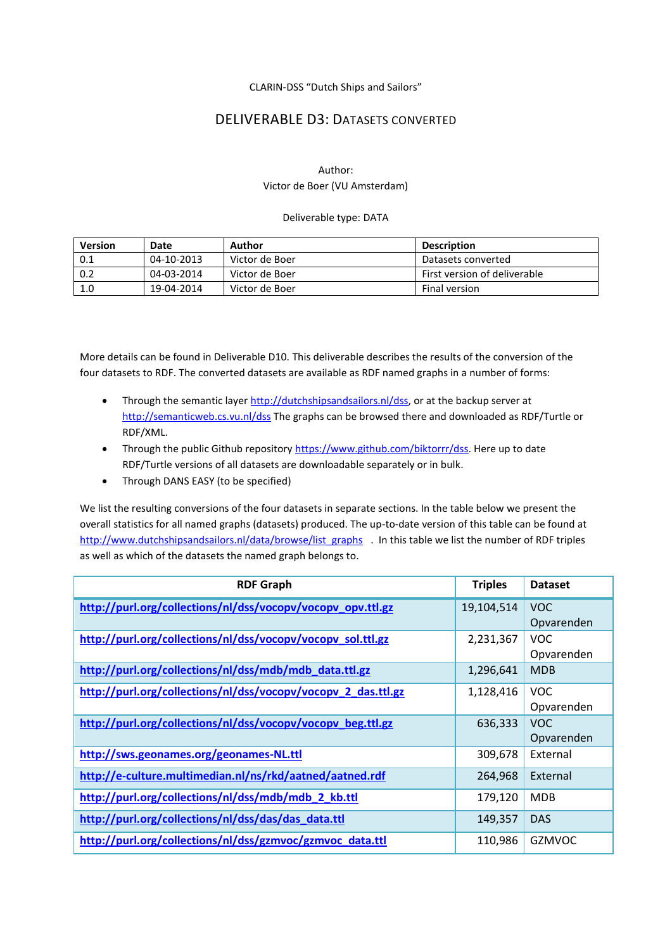CLARIN-DSS "Dutch Ships and Sailors"

#### DELIVERABLE D3: DATASETS CONVERTED

#### Author: Victor de Boer (VU Amsterdam)

#### Deliverable type: DATA

| <b>Version</b> | Date       | Author         | <b>Description</b>           |
|----------------|------------|----------------|------------------------------|
| 0.1            | 04-10-2013 | Victor de Boer | Datasets converted           |
| 0.2            | 04-03-2014 | Victor de Boer | First version of deliverable |
| 1.0            | 19-04-2014 | Victor de Boer | Final version                |

More details can be found in Deliverable D10. This deliverable describes the results of the conversion of the four datasets to RDF. The converted datasets are available as RDF named graphs in a number of forms:

- Through the semantic layer [http://dutchshipsandsailors.nl/dss,](http://dutchshipsandsailors.nl/dss) or at the backup server at <http://semanticweb.cs.vu.nl/dss> The graphs can be browsed there and downloaded as RDF/Turtle or RDF/XML.
- Through the public Github repositor[y https://www.github.com/biktorrr/dss.](https://www.github.com/biktorrr/dss) Here up to date RDF/Turtle versions of all datasets are downloadable separately or in bulk.
- Through DANS EASY (to be specified)

We list the resulting conversions of the four datasets in separate sections. In the table below we present the overall statistics for all named graphs (datasets) produced. The up-to-date version of this table can be found at [http://www.dutchshipsandsailors.nl/data/browse/list\\_graphs](http://www.dutchshipsandsailors.nl/data/browse/list_graphs) . In this table we list the number of RDF triples as well as which of the datasets the named graph belongs to.

| <b>RDF Graph</b>                                              | <b>Triples</b> | <b>Dataset</b> |
|---------------------------------------------------------------|----------------|----------------|
| http://purl.org/collections/nl/dss/vocopv/vocopv_opv.ttl.gz   | 19,104,514     | <b>VOC</b>     |
|                                                               |                | Opvarenden     |
| http://purl.org/collections/nl/dss/vocopv/vocopv_sol.ttl.gz   | 2,231,367      | <b>VOC</b>     |
|                                                               |                | Opvarenden     |
| http://purl.org/collections/nl/dss/mdb/mdb data.ttl.gz        | 1,296,641      | <b>MDB</b>     |
| http://purl.org/collections/nl/dss/vocopy/vocopy 2 das.ttl.gz | 1,128,416      | <b>VOC</b>     |
|                                                               |                | Opvarenden     |
| http://purl.org/collections/nl/dss/vocopv/vocopv_beg.ttl.gz   | 636,333        | <b>VOC</b>     |
|                                                               |                | Opvarenden     |
| http://sws.geonames.org/geonames-NL.ttl                       | 309,678        | External       |
| http://e-culture.multimedian.nl/ns/rkd/aatned/aatned.rdf      | 264,968        | External       |
| http://purl.org/collections/nl/dss/mdb/mdb 2 kb.ttl           | 179,120        | <b>MDB</b>     |
| http://purl.org/collections/nl/dss/das/das_data.ttl           | 149,357        | <b>DAS</b>     |
| http://purl.org/collections/nl/dss/gzmvoc/gzmvoc_data.ttl     | 110,986        | <b>GZMVOC</b>  |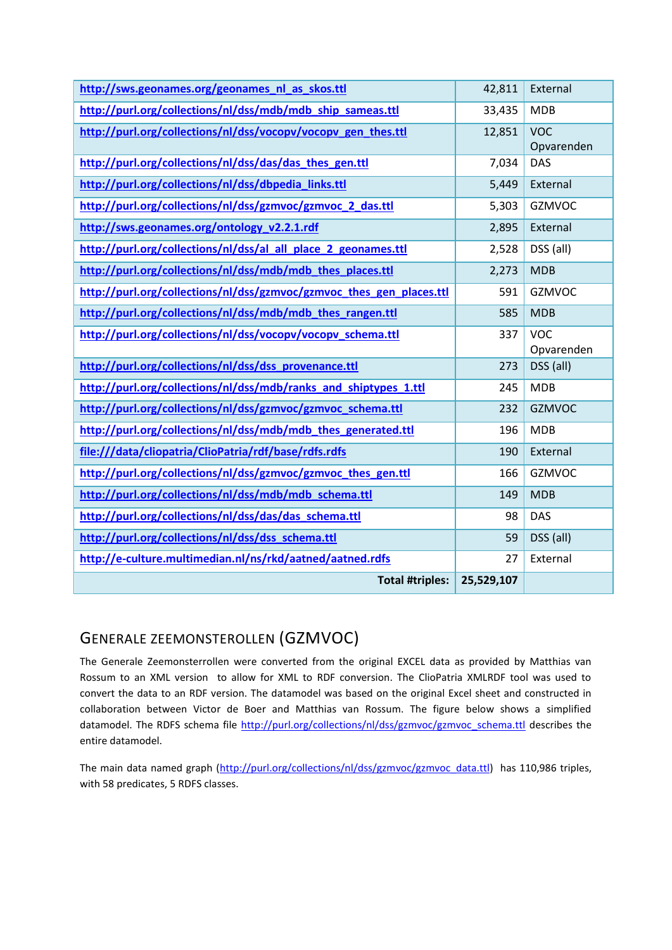| http://sws.geonames.org/geonames_nl_as_skos.ttl                      | 42,811     | External      |
|----------------------------------------------------------------------|------------|---------------|
| http://purl.org/collections/nl/dss/mdb/mdb ship sameas.ttl           | 33,435     | <b>MDB</b>    |
| http://purl.org/collections/nl/dss/vocopv/vocopv_gen_thes.ttl        | 12,851     | VOC           |
|                                                                      |            | Opvarenden    |
| http://purl.org/collections/nl/dss/das/das_thes_gen.ttl              | 7,034      | <b>DAS</b>    |
| http://purl.org/collections/nl/dss/dbpedia_links.ttl                 | 5,449      | External      |
| http://purl.org/collections/nl/dss/gzmvoc/gzmvoc_2_das.ttl           | 5,303      | <b>GZMVOC</b> |
| http://sws.geonames.org/ontology_v2.2.1.rdf                          | 2,895      | External      |
| http://purl.org/collections/nl/dss/al_all_place_2_geonames.ttl       | 2,528      | DSS (all)     |
| http://purl.org/collections/nl/dss/mdb/mdb_thes_places.ttl           | 2,273      | <b>MDB</b>    |
| http://purl.org/collections/nl/dss/gzmvoc/gzmvoc_thes_gen_places.ttl | 591        | <b>GZMVOC</b> |
| http://purl.org/collections/nl/dss/mdb/mdb thes rangen.ttl           | 585        | <b>MDB</b>    |
| http://purl.org/collections/nl/dss/vocopv/vocopv_schema.ttl          | 337        | <b>VOC</b>    |
|                                                                      |            | Opvarenden    |
| http://purl.org/collections/nl/dss/dss_provenance.ttl                | 273        | DSS (all)     |
| http://purl.org/collections/nl/dss/mdb/ranks and shiptypes 1.ttl     | 245        | <b>MDB</b>    |
| http://purl.org/collections/nl/dss/gzmvoc/gzmvoc_schema.ttl          | 232        | <b>GZMVOC</b> |
| http://purl.org/collections/nl/dss/mdb/mdb thes generated.ttl        | 196        | <b>MDB</b>    |
| file:///data/cliopatria/ClioPatria/rdf/base/rdfs.rdfs                | 190        | External      |
| http://purl.org/collections/nl/dss/gzmvoc/gzmvoc_thes_gen.ttl        | 166        | <b>GZMVOC</b> |
| http://purl.org/collections/nl/dss/mdb/mdb schema.ttl                | 149        | <b>MDB</b>    |
| http://purl.org/collections/nl/dss/das/das_schema.ttl                | 98         | <b>DAS</b>    |
| http://purl.org/collections/nl/dss/dss_schema.ttl                    | 59         | DSS (all)     |
| http://e-culture.multimedian.nl/ns/rkd/aatned/aatned.rdfs            | 27         | External      |
| <b>Total #triples:</b>                                               | 25,529,107 |               |

# GENERALE ZEEMONSTEROLLEN (GZMVOC)

The Generale Zeemonsterrollen were converted from the original EXCEL data as provided by Matthias van Rossum to an XML version to allow for XML to RDF conversion. The ClioPatria XMLRDF tool was used to convert the data to an RDF version. The datamodel was based on the original Excel sheet and constructed in collaboration between Victor de Boer and Matthias van Rossum. The figure below shows a simplified datamodel. The RDFS schema file [http://purl.org/collections/nl/dss/gzmvoc/gzmvoc\\_schema.ttl](http://purl.org/collections/nl/dss/gzmvoc/gzmvoc_schema.ttl) describes the entire datamodel.

The main data named graph [\(http://purl.org/collections/nl/dss/gzmvoc/gzmvoc\\_data.ttl\)](http://purl.org/collections/nl/dss/gzmvoc/gzmvoc_data.ttl) has 110,986 triples, with 58 predicates, 5 RDFS classes.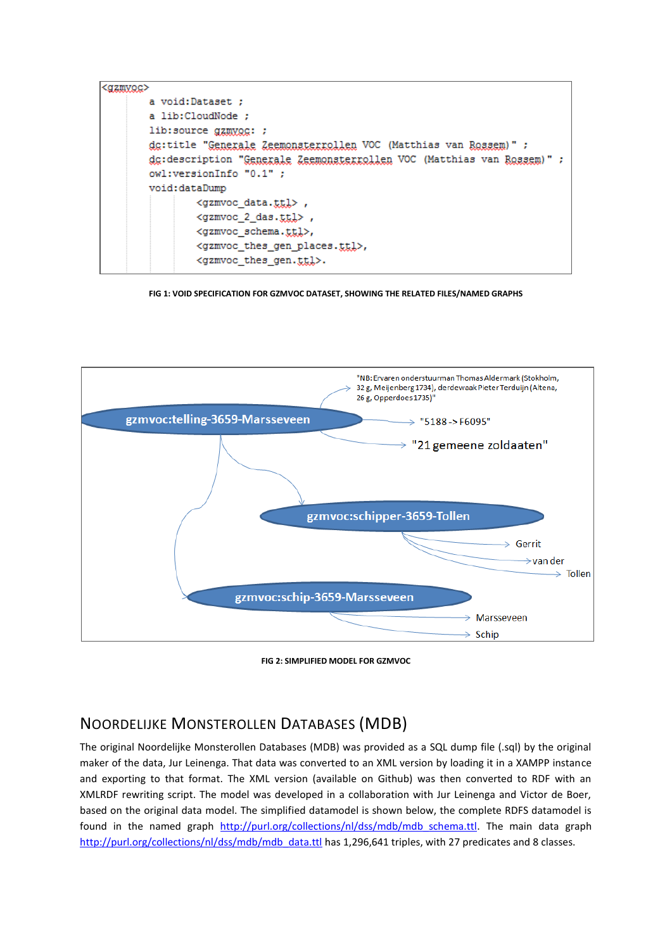| a void:Dataset :                                                      |
|-----------------------------------------------------------------------|
| a lib:CloudNode :                                                     |
| lib:source gzmxgg: ;                                                  |
| dg:title "Generale Zeemonsterrollen VOC (Matthias van Rossem)";       |
| dg:description "Generale Zeemonsterrollen VOC (Matthias van Rossem)"; |
| owl:versionInfo "0.1";                                                |
| void:dataDump                                                         |
| <gzmvoc data.ttl="">,</gzmvoc>                                        |
| $\langle$ gzmvoc 2 das.ttl>,                                          |
| <gzmvoc schema.ttl="">,</gzmvoc>                                      |
| <gzmvoc gen="" places.ttl="" thes="">,</gzmvoc>                       |
| <gzmvoc_thes_gen.ttl>.</gzmvoc_thes_gen.ttl>                          |

**FIG 1: VOID SPECIFICATION FOR GZMVOC DATASET, SHOWING THE RELATED FILES/NAMED GRAPHS**



**FIG 2: SIMPLIFIED MODEL FOR GZMVOC**

#### NOORDELIJKE MONSTEROLLEN DATABASES (MDB)

The original Noordelijke Monsterollen Databases (MDB) was provided as a SQL dump file (.sql) by the original maker of the data, Jur Leinenga. That data was converted to an XML version by loading it in a XAMPP instance and exporting to that format. The XML version (available on Github) was then converted to RDF with an XMLRDF rewriting script. The model was developed in a collaboration with Jur Leinenga and Victor de Boer, based on the original data model. The simplified datamodel is shown below, the complete RDFS datamodel is found in the named graph http://purl.org/collections/nl/dss/mdb/mdb schema.ttl. The main data graph [http://purl.org/collections/nl/dss/mdb/mdb\\_data.ttl](http://purl.org/collections/nl/dss/mdb/mdb_data.ttl) has 1,296,641 triples, with 27 predicates and 8 classes.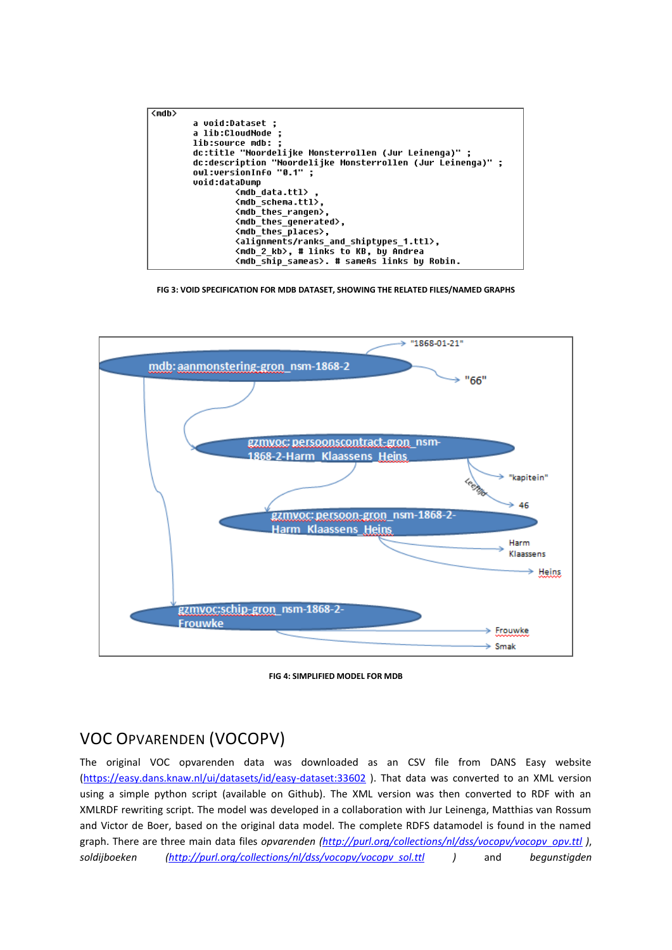







## VOC OPVARENDEN (VOCOPV)

The original VOC opvarenden data was downloaded as an CSV file from DANS Easy website [\(https://easy.dans.knaw.nl/ui/datasets/id/easy-dataset:33602](https://easy.dans.knaw.nl/ui/datasets/id/easy-dataset:33602) ). That data was converted to an XML version using a simple python script (available on Github). The XML version was then converted to RDF with an XMLRDF rewriting script. The model was developed in a collaboration with Jur Leinenga, Matthias van Rossum and Victor de Boer, based on the original data model. The complete RDFS datamodel is found in the named graph. There are three main data files *opvarenden [\(http://purl.org/collections/nl/dss/vocopv/vocopv\\_opv.ttl](http://purl.org/collections/nl/dss/vocopv/vocopv_opv.ttl) )*, *soldijboeken [\(http://purl.org/collections/nl/dss/vocopv/vocopv\\_sol.ttl](http://purl.org/collections/nl/dss/vocopv/vocopv_sol.ttl) )* and *begunstigden*